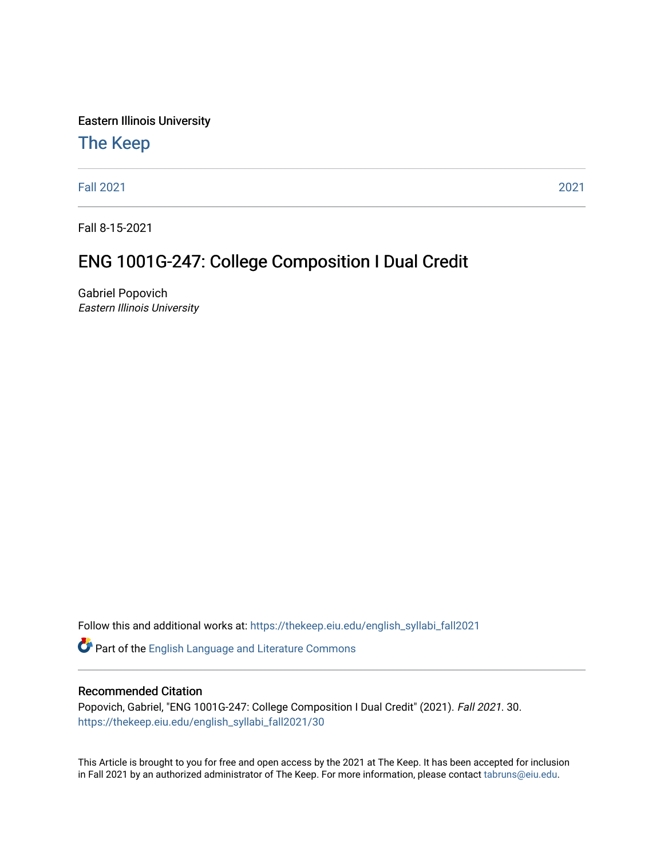Eastern Illinois University

## [The Keep](https://thekeep.eiu.edu/)

[Fall 2021](https://thekeep.eiu.edu/english_syllabi_fall2021) [2021](https://thekeep.eiu.edu/english_syllabi2021) 

Fall 8-15-2021

# ENG 1001G-247: College Composition I Dual Credit

Gabriel Popovich Eastern Illinois University

Follow this and additional works at: [https://thekeep.eiu.edu/english\\_syllabi\\_fall2021](https://thekeep.eiu.edu/english_syllabi_fall2021?utm_source=thekeep.eiu.edu%2Fenglish_syllabi_fall2021%2F30&utm_medium=PDF&utm_campaign=PDFCoverPages) 

Part of the [English Language and Literature Commons](http://network.bepress.com/hgg/discipline/455?utm_source=thekeep.eiu.edu%2Fenglish_syllabi_fall2021%2F30&utm_medium=PDF&utm_campaign=PDFCoverPages)

## Recommended Citation

Popovich, Gabriel, "ENG 1001G-247: College Composition I Dual Credit" (2021). Fall 2021. 30. [https://thekeep.eiu.edu/english\\_syllabi\\_fall2021/30](https://thekeep.eiu.edu/english_syllabi_fall2021/30?utm_source=thekeep.eiu.edu%2Fenglish_syllabi_fall2021%2F30&utm_medium=PDF&utm_campaign=PDFCoverPages)

This Article is brought to you for free and open access by the 2021 at The Keep. It has been accepted for inclusion in Fall 2021 by an authorized administrator of The Keep. For more information, please contact [tabruns@eiu.edu](mailto:tabruns@eiu.edu).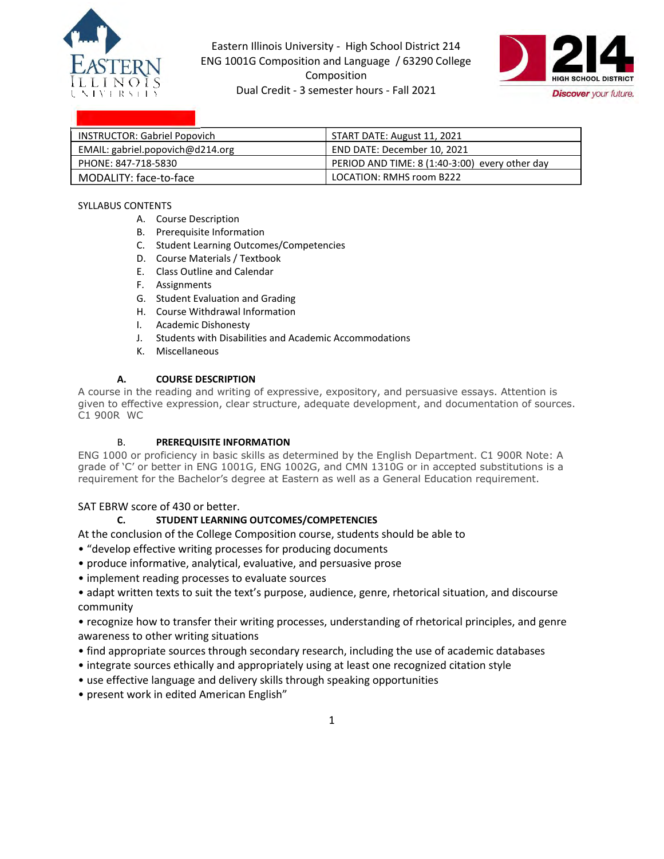

Eastern Illinois University - High School District 214 ENG 1001G Composition and Language / 63290 College Composition LEE INCOLUSE Dual Credit - 3 semester hours - Fall 2021 **Discover** your future.



| <b>INSTRUCTOR: Gabriel Popovich</b> | START DATE: August 11, 2021                    |
|-------------------------------------|------------------------------------------------|
| EMAIL: gabriel.popovich@d214.org    | END DATE: December 10, 2021                    |
| PHONE: 847-718-5830                 | PERIOD AND TIME: 8 (1:40-3:00) every other day |
| MODALITY: face-to-face              | LOCATION: RMHS room B222                       |

#### SYLLABUS CONTENTS

- A. Course Description
- B. Prerequisite Information
- C. Student Learning Outcomes/Competencies
- D. Course Materials / Textbook
- E. Class Outline and Calendar
- F. Assignments
- G. Student Evaluation and Grading
- H. Course Withdrawal Information
- I. Academic Dishonesty
- J. Students with Disabilities and Academic Accommodations
- K. Miscellaneous

#### **A. COURSE DESCRIPTION**

A course in the reading and writing of expressive, expository, and persuasive essays. Attention is given to effective expression, clear structure, adequate development, and documentation of sources. C1 900R WC

#### B. **PREREQUISITE INFORMATION**

ENG 1000 or proficiency in basic skills as determined by the English Department. C1 900R Note: A grade of 'C' or better in ENG 1001G, ENG 1002G, and CMN 1310G or in accepted substitutions is a requirement for the Bachelor's degree at Eastern as well as a General Education requirement.

SAT EBRW score of 430 or better.

#### **C. STUDENT LEARNING OUTCOMES/COMPETENCIES**

At the conclusion of the College Composition course, students should be able to

- "develop effective writing processes for producing documents
- produce informative, analytical, evaluative, and persuasive prose
- implement reading processes to evaluate sources
- adapt written texts to suit the text's purpose, audience, genre, rhetorical situation, and discourse community

• recognize how to transfer their writing processes, understanding of rhetorical principles, and genre awareness to other writing situations

- find appropriate sources through secondary research, including the use of academic databases
- integrate sources ethically and appropriately using at least one recognized citation style
- use effective language and delivery skills through speaking opportunities
- present work in edited American English"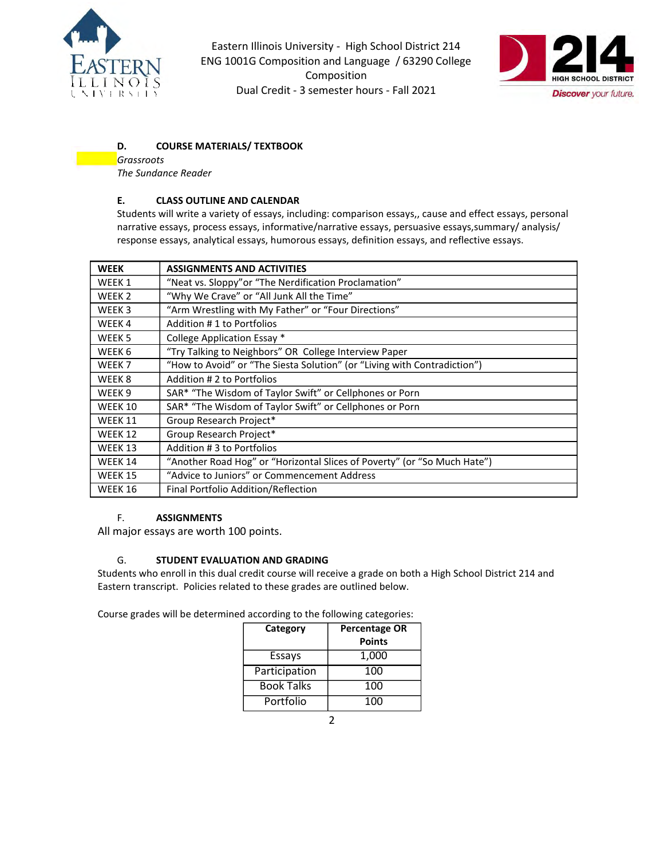

-

Eastern Illinois University - High School District 214 ENG 1001G Composition and Language / 63290 College Composition Dual Credit - 3 semester hours - Fall 2021



## **D. COURSE MATERIALS/ TEXTBOOK**

*Grassroots The Sundance Reader*

#### **E. CLASS OUTLINE AND CALENDAR**

Students will write a variety of essays, including: comparison essays,, cause and effect essays, personal narrative essays, process essays, informative/narrative essays, persuasive essays,summary/ analysis/ response essays, analytical essays, humorous essays, definition essays, and reflective essays.

| <b>WEEK</b>       | <b>ASSIGNMENTS AND ACTIVITIES</b>                                        |
|-------------------|--------------------------------------------------------------------------|
| WEEK 1            | "Neat vs. Sloppy" or "The Nerdification Proclamation"                    |
| WEEK <sub>2</sub> | "Why We Crave" or "All Junk All the Time"                                |
| WEEK 3            | "Arm Wrestling with My Father" or "Four Directions"                      |
| WEEK4             | Addition #1 to Portfolios                                                |
| WEEK <sub>5</sub> | College Application Essay *                                              |
| WEEK 6            | "Try Talking to Neighbors" OR College Interview Paper                    |
| WEEK <sub>7</sub> | "How to Avoid" or "The Siesta Solution" (or "Living with Contradiction") |
| WEEK 8            | Addition # 2 to Portfolios                                               |
| WEEK <sub>9</sub> | SAR* "The Wisdom of Taylor Swift" or Cellphones or Porn                  |
| WEEK 10           | SAR* "The Wisdom of Taylor Swift" or Cellphones or Porn                  |
| WEEK 11           | Group Research Project*                                                  |
| <b>WEEK 12</b>    | Group Research Project*                                                  |
| WEEK 13           | Addition #3 to Portfolios                                                |
| WEEK 14           | "Another Road Hog" or "Horizontal Slices of Poverty" (or "So Much Hate") |
| WEEK 15           | "Advice to Juniors" or Commencement Address                              |
| WEEK 16           | Final Portfolio Addition/Reflection                                      |

#### F. **ASSIGNMENTS**

All major essays are worth 100 points.

#### G. **STUDENT EVALUATION AND GRADING**

Students who enroll in this dual credit course will receive a grade on both a High School District 214 and Eastern transcript. Policies related to these grades are outlined below.

Course grades will be determined according to the following categories:

| Category          | <b>Percentage OR</b><br><b>Points</b> |
|-------------------|---------------------------------------|
| Essays            | 1,000                                 |
| Participation     | 100                                   |
| <b>Book Talks</b> | 100                                   |
| Portfolio         | 100                                   |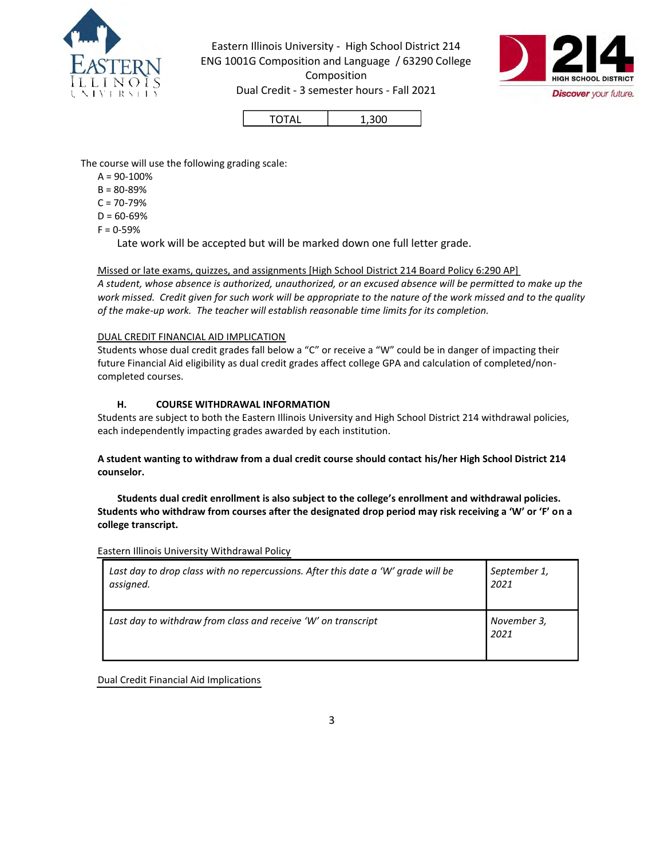

Eastern Illinois University - High School District 214 ENG 1001G Composition and Language / 63290 College Composition LEE INCOLUSE Dual Credit - 3 semester hours - Fall 2021 **Discover** your future.



TOTAL 1,300

The course will use the following grading scale:

- $A = 90 100%$
- $B = 80 89%$
- $C = 70 79%$
- $D = 60 69%$
- $F = 0 59%$

Late work will be accepted but will be marked down one full letter grade.

## Missed or late exams, quizzes, and assignments [High School District 214 Board Policy 6:290 AP]

*A student, whose absence is authorized, unauthorized, or an excused absence will be permitted to make up the work missed. Credit given for such work will be appropriate to the nature of the work missed and to the quality of the make-up work. The teacher will establish reasonable time limits for its completion.* 

## DUAL CREDIT FINANCIAL AID IMPLICATION

Students whose dual credit grades fall below a "C" or receive a "W" could be in danger of impacting their future Financial Aid eligibility as dual credit grades affect college GPA and calculation of completed/noncompleted courses.

#### **H. COURSE WITHDRAWAL INFORMATION**

Students are subject to both the Eastern Illinois University and High School District 214 withdrawal policies, each independently impacting grades awarded by each institution.

#### **A student wanting to withdraw from a dual credit course should contact his/her High School District 214 counselor.**

 **Students dual credit enrollment is also subject to the college's enrollment and withdrawal policies. Students who withdraw from courses after the designated drop period may risk receiving a 'W' or 'F' on a college transcript.**

Eastern Illinois University Withdrawal Policy

| Last day to drop class with no repercussions. After this date a 'W' grade will be | September 1,        |
|-----------------------------------------------------------------------------------|---------------------|
| assigned.                                                                         | 2021                |
| Last day to withdraw from class and receive 'W' on transcript                     | November 3,<br>2021 |

Dual Credit Financial Aid Implications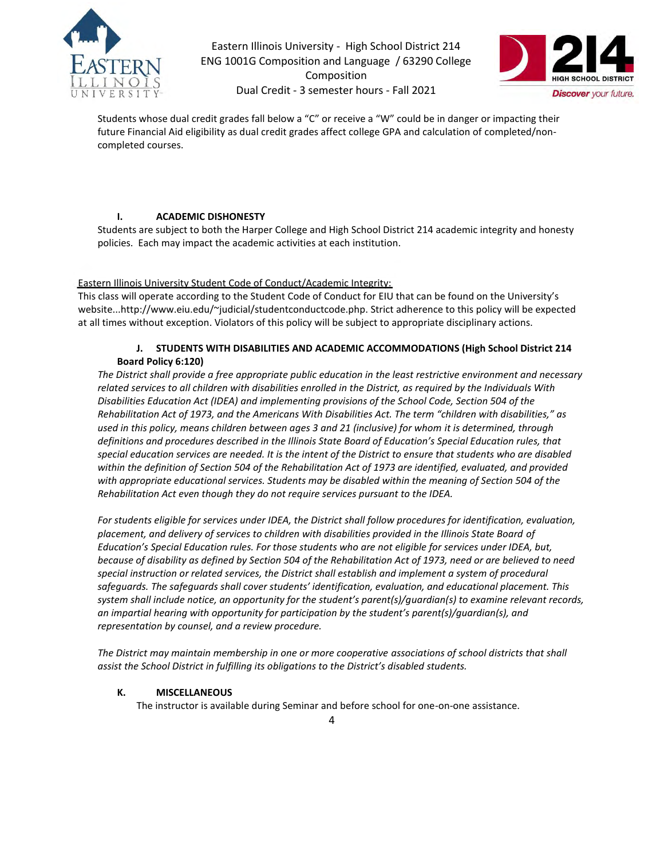

Eastern Illinois University - High School District 214 ENG 1001G Composition and Language / 63290 College Composition UNIVERSITY **Dual Credit - 3 semester hours - Fall 2021 Discover** your future.



Students whose dual credit grades fall below a "C" or receive a "W" could be in danger or impacting their future Financial Aid eligibility as dual credit grades affect college GPA and calculation of completed/noncompleted courses.

#### **I. ACADEMIC DISHONESTY**

Students are subject to both the Harper College and High School District 214 academic integrity and honesty policies. Each may impact the academic activities at each institution.

#### Eastern Illinois University Student Code of Conduct/Academic Integrity:

This class will operate according to the Student Code of Conduct for EIU that can be found on the University's website...http://www.eiu.edu/~judicial/studentconductcode.php. Strict adherence to this policy will be expected at all times without exception. Violators of this policy will be subject to appropriate disciplinary actions.

#### **J. STUDENTS WITH DISABILITIES AND ACADEMIC ACCOMMODATIONS (High School District 214 Board Policy 6:120)**

*The District shall provide a free appropriate public education in the least restrictive environment and necessary related services to all children with disabilities enrolled in the District, as required by the Individuals With Disabilities Education Act (IDEA) and implementing provisions of the School Code, Section 504 of the Rehabilitation Act of 1973, and the Americans With Disabilities Act. The term "children with disabilities," as used in this policy, means children between ages 3 and 21 (inclusive) for whom it is determined, through*  definitions and procedures described in the Illinois State Board of Education's Special Education rules, that *special education services are needed. It is the intent of the District to ensure that students who are disabled*  within the definition of Section 504 of the Rehabilitation Act of 1973 are identified, evaluated, and provided *with appropriate educational services. Students may be disabled within the meaning of Section 504 of the Rehabilitation Act even though they do not require services pursuant to the IDEA.* 

For students eligible for services under IDEA, the District shall follow procedures for identification, evaluation, *placement, and delivery of services to children with disabilities provided in the Illinois State Board of Education's Special Education rules. For those students who are not eligible for services under IDEA, but, because of disability as defined by Section 504 of the Rehabilitation Act of 1973, need or are believed to need special instruction or related services, the District shall establish and implement a system of procedural safeguards. The safeguards shall cover students' identification, evaluation, and educational placement. This system shall include notice, an opportunity for the student's parent(s)/guardian(s) to examine relevant records, an impartial hearing with opportunity for participation by the student's parent(s)/guardian(s), and representation by counsel, and a review procedure.* 

*The District may maintain membership in one or more cooperative associations of school districts that shall assist the School District in fulfilling its obligations to the District's disabled students.*

#### **K. MISCELLANEOUS**

The instructor is available during Seminar and before school for one-on-one assistance.